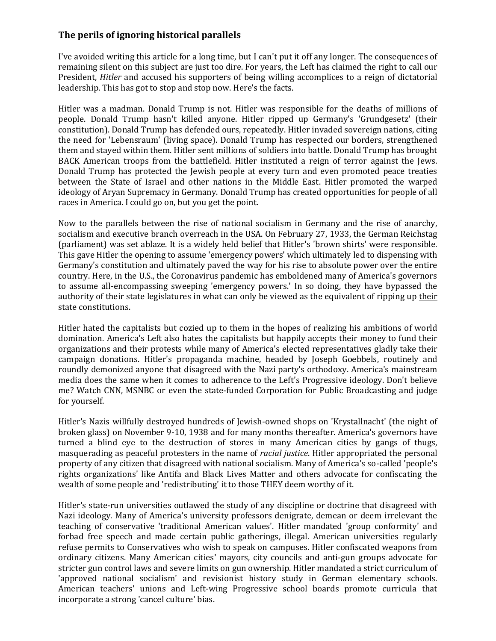## **The perils of ignoring historical parallels**

I've avoided writing this article for a long time, but I can't put it off any longer. The consequences of remaining silent on this subject are just too dire. For years, the Left has claimed the right to call our President, *Hitler* and accused his supporters of being willing accomplices to a reign of dictatorial leadership. This has got to stop and stop now. Here's the facts.

Hitler was a madman. Donald Trump is not. Hitler was responsible for the deaths of millions of people. Donald Trump hasn't killed anyone. Hitler ripped up Germany's 'Grundgesetz' (their constitution). Donald Trump has defended ours, repeatedly. Hitler invaded sovereign nations, citing the need for 'Lebensraum' (living space). Donald Trump has respected our borders, strengthened them and stayed within them. Hitler sent millions of soldiers into battle. Donald Trump has brought BACK American troops from the battlefield. Hitler instituted a reign of terror against the Jews. Donald Trump has protected the Jewish people at every turn and even promoted peace treaties between the State of Israel and other nations in the Middle East. Hitler promoted the warped ideology of Aryan Supremacy in Germany. Donald Trump has created opportunities for people of all races in America. I could go on, but you get the point.

Now to the parallels between the rise of national socialism in Germany and the rise of anarchy, socialism and executive branch overreach in the USA. On February 27, 1933, the German Reichstag (parliament) was set ablaze. It is a widely held belief that Hitler's 'brown shirts' were responsible. This gave Hitler the opening to assume 'emergency powers' which ultimately led to dispensing with Germany's constitution and ultimately paved the way for his rise to absolute power over the entire country. Here, in the U.S., the Coronavirus pandemic has emboldened many of America's governors to assume all-encompassing sweeping 'emergency powers.' In so doing, they have bypassed the authority of their state legislatures in what can only be viewed as the equivalent of ripping up their state constitutions.

Hitler hated the capitalists but cozied up to them in the hopes of realizing his ambitions of world domination. America's Left also hates the capitalists but happily accepts their money to fund their organizations and their protests while many of America's elected representatives gladly take their campaign donations. Hitler's propaganda machine, headed by Joseph Goebbels, routinely and roundly demonized anyone that disagreed with the Nazi party's orthodoxy. America's mainstream media does the same when it comes to adherence to the Left's Progressive ideology. Don't believe me? Watch CNN, MSNBC or even the state-funded Corporation for Public Broadcasting and judge for yourself.

Hitler's Nazis willfully destroyed hundreds of Jewish-owned shops on 'Krystallnacht' (the night of broken glass) on November 9-10, 1938 and for many months thereafter. America's governors have turned a blind eye to the destruction of stores in many American cities by gangs of thugs, masquerading as peaceful protesters in the name of *racial justice*. Hitler appropriated the personal property of any citizen that disagreed with national socialism. Many of America's so-called 'people's rights organizations' like Antifa and Black Lives Matter and others advocate for confiscating the wealth of some people and 'redistributing' it to those THEY deem worthy of it.

Hitler's state-run universities outlawed the study of any discipline or doctrine that disagreed with Nazi ideology. Many of America's university professors denigrate, demean or deem irrelevant the teaching of conservative 'traditional American values'. Hitler mandated 'group conformity' and forbad free speech and made certain public gatherings, illegal. American universities regularly refuse permits to Conservatives who wish to speak on campuses. Hitler confiscated weapons from ordinary citizens. Many American cities' mayors, city councils and anti-gun groups advocate for stricter gun control laws and severe limits on gun ownership. Hitler mandated a strict curriculum of 'approved national socialism' and revisionist history study in German elementary schools. American teachers' unions and Left-wing Progressive school boards promote curricula that incorporate a strong 'cancel culture' bias.